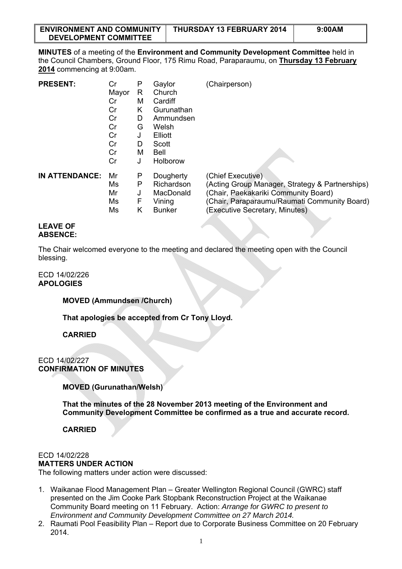| <b>ENVIRONMENT AND COMMUNITY</b> | THURSDAY 13 FEBRUARY 2014 | 9:00AM |
|----------------------------------|---------------------------|--------|
| <b>DEVELOPMENT COMMITTEE</b>     |                           |        |

**MINUTES** of a meeting of the **Environment and Community Development Committee** held in the Council Chambers, Ground Floor, 175 Rimu Road, Paraparaumu, on **Thursday 13 February 2014** commencing at 9:00am.

| <b>PRESENT:</b>       | Cr    | P | Gaylor        | (Chairperson)                                                   |
|-----------------------|-------|---|---------------|-----------------------------------------------------------------|
|                       | Mayor | R | Church        |                                                                 |
|                       | Cr    | м | Cardiff       |                                                                 |
|                       | Cr    | Κ | Gurunathan    |                                                                 |
|                       | Cr    | D | Ammundsen     |                                                                 |
|                       | Cr    | G | Welsh         |                                                                 |
|                       | Cr    | J | Elliott       |                                                                 |
|                       | Cr    | D | Scott         |                                                                 |
|                       | Cr    | М | Bell          |                                                                 |
|                       | Cr    | J | Holborow      |                                                                 |
| <b>IN ATTENDANCE:</b> | Mr    | P | Dougherty     | (Chief Executive)                                               |
|                       | Ms    | Ρ | Richardson    | (Acting Group Manager, Strategy & Partnerships)                 |
|                       | Mr    | J | MacDonald     | (Chair, Paekakariki Community Board)                            |
|                       | Ms    | F | Vining        | (Chair, Paraparaumu/Raumati Community Board)                    |
|                       | Ms    | Κ | <b>Bunker</b> | (Executive Secretary, Minutes)                                  |
|                       |       |   |               | the contract of the contract of the contract of<br><b>START</b> |

#### **LEAVE OF ABSENCE:**

The Chair welcomed everyone to the meeting and declared the meeting open with the Council blessing.

# ECD 14/02/226 **APOLOGIES**

# **MOVED (Ammundsen /Church)**

**That apologies be accepted from Cr Tony Lloyd.** 

**CARRIED** 

## ECD 14/02/227 **CONFIRMATION OF MINUTES**

**MOVED (Gurunathan/Welsh)** 

**That the minutes of the 28 November 2013 meeting of the Environment and Community Development Committee be confirmed as a true and accurate record.** 

**CARRIED** 

#### ECD 14/02/228

## **MATTERS UNDER ACTION**

The following matters under action were discussed:

- 1. Waikanae Flood Management Plan Greater Wellington Regional Council (GWRC) staff presented on the Jim Cooke Park Stopbank Reconstruction Project at the Waikanae Community Board meeting on 11 February. Action: *Arrange for GWRC to present to Environment and Community Development Committee on 27 March 2014.*
- 2. Raumati Pool Feasibility Plan Report due to Corporate Business Committee on 20 February 2014.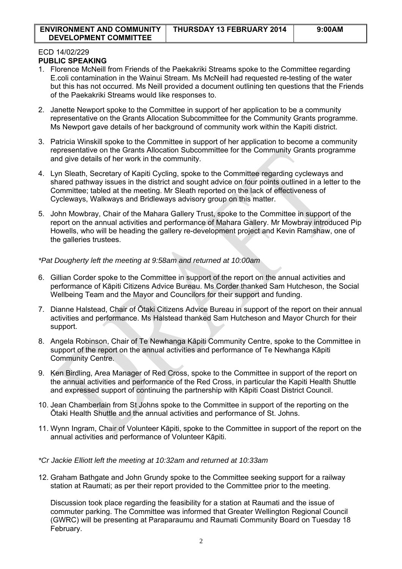#### ECD 14/02/229 **PUBLIC SPEAKING**

- 1. Florence McNeill from Friends of the Paekakriki Streams spoke to the Committee regarding E.coli contamination in the Wainui Stream. Ms McNeill had requested re-testing of the water but this has not occurred. Ms Neill provided a document outlining ten questions that the Friends of the Paekakriki Streams would like responses to.
- 2. Janette Newport spoke to the Committee in support of her application to be a community representative on the Grants Allocation Subcommittee for the Community Grants programme. Ms Newport gave details of her background of community work within the Kapiti district.
- 3. Patricia Winskill spoke to the Committee in support of her application to become a community representative on the Grants Allocation Subcommittee for the Community Grants programme and give details of her work in the community.
- 4. Lyn Sleath, Secretary of Kapiti Cycling, spoke to the Committee regarding cycleways and shared pathway issues in the district and sought advice on four points outlined in a letter to the Committee; tabled at the meeting. Mr Sleath reported on the lack of effectiveness of Cycleways, Walkways and Bridleways advisory group on this matter.
- 5. John Mowbray, Chair of the Mahara Gallery Trust, spoke to the Committee in support of the report on the annual activities and performance of Mahara Gallery. Mr Mowbray introduced Pip Howells, who will be heading the gallery re-development project and Kevin Ramshaw, one of the galleries trustees.

*\*Pat Dougherty left the meeting at 9:58am and returned at 10:00am* 

- 6. Gillian Corder spoke to the Committee in support of the report on the annual activities and performance of Kāpiti Citizens Advice Bureau. Ms Corder thanked Sam Hutcheson, the Social Wellbeing Team and the Mayor and Councilors for their support and funding.
- 7. Dianne Halstead, Chair of Ōtaki Citizens Advice Bureau in support of the report on their annual activities and performance. Ms Halstead thanked Sam Hutcheson and Mayor Church for their support.
- 8. Angela Robinson, Chair of Te Newhanga Kāpiti Community Centre, spoke to the Committee in support of the report on the annual activities and performance of Te Newhanga Kāpiti Community Centre.
- 9. Ken Birdling, Area Manager of Red Cross, spoke to the Committee in support of the report on the annual activities and performance of the Red Cross, in particular the Kapiti Health Shuttle and expressed support of continuing the partnership with Kāpiti Coast District Council.
- 10. Jean Chamberlain from St Johns spoke to the Committee in support of the reporting on the Ōtaki Health Shuttle and the annual activities and performance of St. Johns.
- 11. Wynn Ingram, Chair of Volunteer Kāpiti, spoke to the Committee in support of the report on the annual activities and performance of Volunteer Kāpiti.
- *\*Cr Jackie Elliott left the meeting at 10:32am and returned at 10:33am*
- 12. Graham Bathgate and John Grundy spoke to the Committee seeking support for a railway station at Raumati; as per their report provided to the Committee prior to the meeting.

Discussion took place regarding the feasibility for a station at Raumati and the issue of commuter parking. The Committee was informed that Greater Wellington Regional Council (GWRC) will be presenting at Paraparaumu and Raumati Community Board on Tuesday 18 February.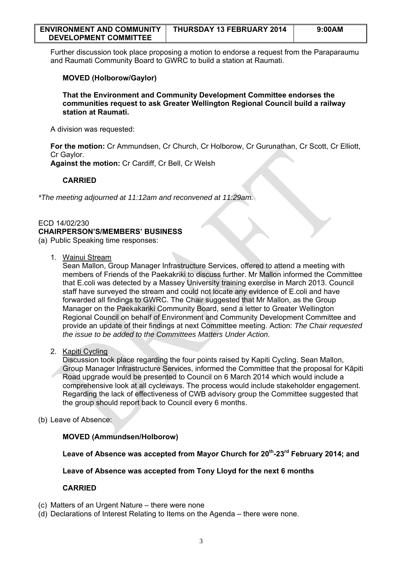| <b>ENVIRONMENT AND COMMUNITY</b> | THURSDAY 13 FEBRUARY 2014 | 9:00AM |
|----------------------------------|---------------------------|--------|
| <b>DEVELOPMENT COMMITTEE</b>     |                           |        |

Further discussion took place proposing a motion to endorse a request from the Paraparaumu and Raumati Community Board to GWRC to build a station at Raumati.

## **MOVED (Holborow/Gaylor)**

**That the Environment and Community Development Committee endorses the communities request to ask Greater Wellington Regional Council build a railway station at Raumati.** 

A division was requested:

**For the motion:** Cr Ammundsen, Cr Church, Cr Holborow, Cr Gurunathan, Cr Scott, Cr Elliott, Cr Gaylor.

**Against the motion:** Cr Cardiff, Cr Bell, Cr Welsh

## **CARRIED**

*\*The meeting adjourned at 11:12am and reconvened at 11:29am.* 

# ECD 14/02/230 **CHAIRPERSON'S/MEMBERS' BUSINESS**

(a) Public Speaking time responses:

1. Wainui Stream

Sean Mallon, Group Manager Infrastructure Services, offered to attend a meeting with members of Friends of the Paekakriki to discuss further. Mr Mallon informed the Committee that E.coli was detected by a Massey University training exercise in March 2013. Council staff have surveyed the stream and could not locate any evidence of E.coli and have forwarded all findings to GWRC. The Chair suggested that Mr Mallon, as the Group Manager on the Paekakariki Community Board, send a letter to Greater Wellington Regional Council on behalf of Environment and Community Development Committee and provide an update of their findings at next Committee meeting. Action: *The Chair requested the issue to be added to the Committees Matters Under Action.* 

2. Kapiti Cycling

Discussion took place regarding the four points raised by Kapiti Cycling. Sean Mallon, Group Manager Infrastructure Services, informed the Committee that the proposal for Kāpiti Road upgrade would be presented to Council on 6 March 2014 which would include a comprehensive look at all cycleways. The process would include stakeholder engagement. Regarding the lack of effectiveness of CWB advisory group the Committee suggested that the group should report back to Council every 6 months.

(b) Leave of Absence:

# **MOVED (Ammundsen/Holborow)**

**Leave of Absence was accepted from Mayor Church for 20th-23rd February 2014; and** 

**Leave of Absence was accepted from Tony Lloyd for the next 6 months** 

## **CARRIED**

- (c) Matters of an Urgent Nature there were none
- (d) Declarations of Interest Relating to Items on the Agenda there were none.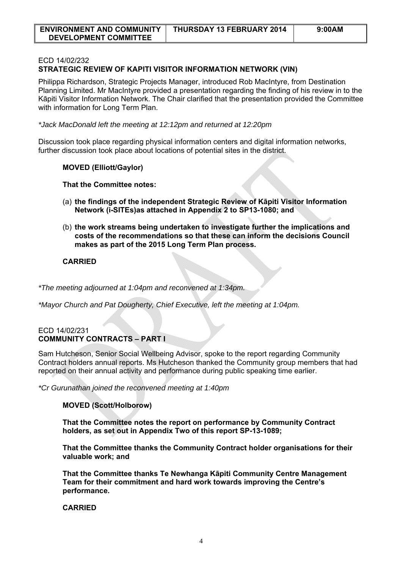| <b>ENVIRONMENT AND COMMUNITY</b> | THURSDAY 13 FEBRUARY 2014 | 9:00AM |
|----------------------------------|---------------------------|--------|
| <b>DEVELOPMENT COMMITTEE</b>     |                           |        |

### ECD 14/02/232

# **STRATEGIC REVIEW OF KAPITI VISITOR INFORMATION NETWORK (VIN)**

Philippa Richardson, Strategic Projects Manager, introduced Rob MacIntyre, from Destination Planning Limited. Mr MacIntyre provided a presentation regarding the finding of his review in to the Kāpiti Visitor Information Network. The Chair clarified that the presentation provided the Committee with information for Long Term Plan.

*\*Jack MacDonald left the meeting at 12:12pm and returned at 12:20pm* 

Discussion took place regarding physical information centers and digital information networks, further discussion took place about locations of potential sites in the district.

### **MOVED (Elliott/Gaylor)**

**That the Committee notes:** 

- (a) **the findings of the independent Strategic Review of Kāpiti Visitor Information Network (i-SITEs)as attached in Appendix 2 to SP13-1080; and**
- (b) **the work streams being undertaken to investigate further the implications and costs of the recommendations so that these can inform the decisions Council makes as part of the 2015 Long Term Plan process.**

## **CARRIED**

*\*The meeting adjourned at 1:04pm and reconvened at 1:34pm.* 

*\*Mayor Church and Pat Dougherty, Chief Executive, left the meeting at 1:04pm.*

## ECD 14/02/231 **COMMUNITY CONTRACTS – PART I**

Sam Hutcheson, Senior Social Wellbeing Advisor, spoke to the report regarding Community Contract holders annual reports. Ms Hutcheson thanked the Community group members that had reported on their annual activity and performance during public speaking time earlier.

*\*Cr Gurunathan joined the reconvened meeting at 1:40pm* 

## **MOVED (Scott/Holborow)**

**That the Committee notes the report on performance by Community Contract holders, as set out in Appendix Two of this report SP-13-1089;** 

**That the Committee thanks the Community Contract holder organisations for their valuable work; and** 

**That the Committee thanks Te Newhanga Kāpiti Community Centre Management Team for their commitment and hard work towards improving the Centre's performance.** 

### **CARRIED**